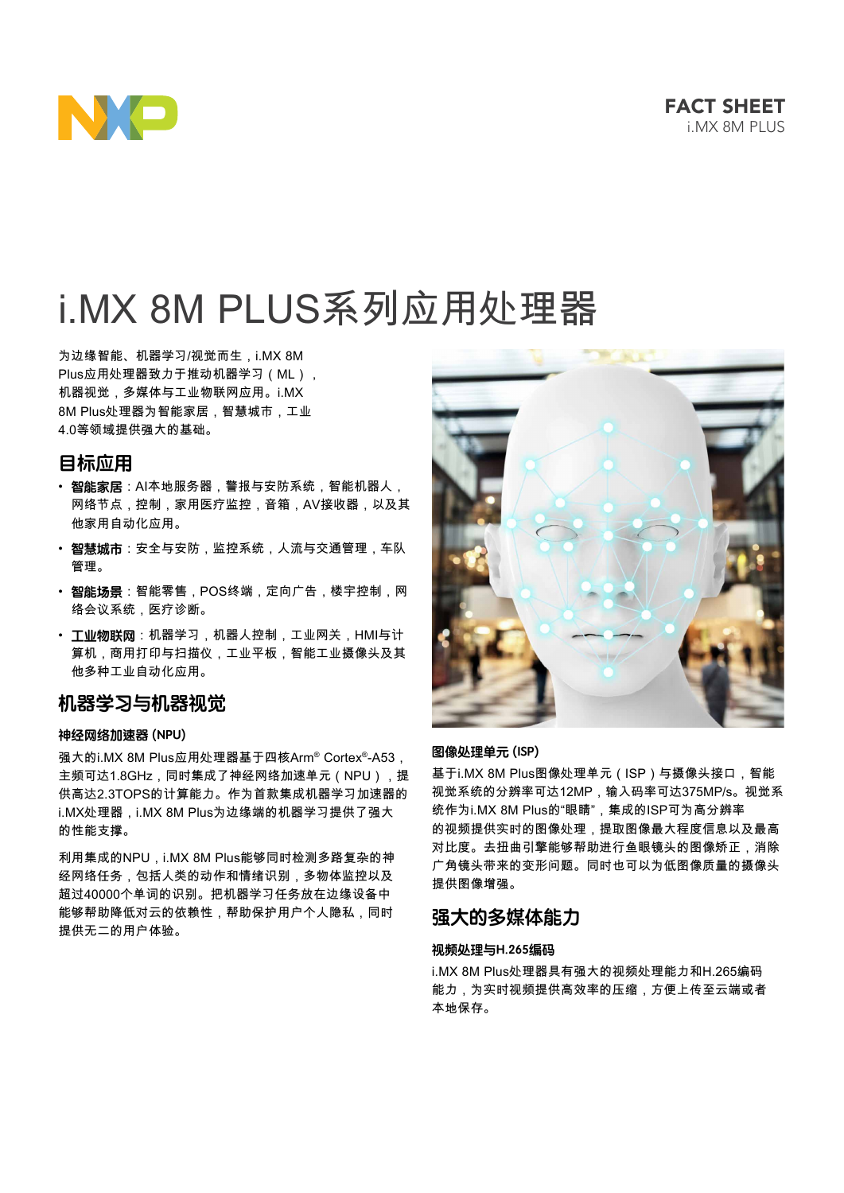

# i.MX 8M PLUS系列应用处理器

为边缘智能、机器学习/视觉而生,i.MX 8M Plus应用处理器致力于推动机器学习(ML), 机器视觉,多媒体与工业物联网应用。i.MX 8M Plus处理器为智能家居,智慧城市,工业 4.0等领域提供强大的基础。

# **目标应用**

- **智能家居**:AI本地服务器,警报与安防系统,智能机器人, 网络节点,控制,家用医疗监控,音箱,AV接收器,以及其 他家用自动化应用。
- **智慧城市**:安全与安防,监控系统,人流与交通管理,车队 管理。
- **智能场景**:智能零售,POS终端,定向广告,楼宇控制,网 络会议系统,医疗诊断。
- **工业物联网**:机器学习,机器人控制,工业网关,HMI与计 算机,商用打印与扫描仪,工业平板,智能工业摄像头及其 他多种工业自动化应用。

# **机器学习与机器视觉**

# **神经网络加速器 (NPU)**

强大的i.MX 8M Plus应用处理器基于四核Arm® Cortex®-A53, 主频可达1.8GHz,同时集成了神经网络加速单元(NPU),提 供高达2.3TOPS的计算能力。作为首款集成机器学习加速器的 i.MX处理器,i.MX 8M Plus为边缘端的机器学习提供了强大 的性能支撑。

利用集成的NPU, i.MX 8M Plus能够同时检测多路复杂的神 经网络任务,包括人类的动作和情绪识别,多物体监控以及 超过40000个单词的识别。把机器学习任务放在边缘设备中 能够帮助降低对云的依赖性,帮助保护用户个人隐私,同时 提供无二的用户体验。



## **图像处理单元 (ISP)**

基于i.MX 8M Plus图像处理单元(ISP)与摄像头接口,智能 视觉系统的分辨率可达12MP,输入码率可达375MP/s。视觉系 统作为i.MX 8M Plus的"眼睛",集成的ISP可为高分辨率 的视频提供实时的图像处理,提取图像最大程度信息以及最高 对比度。去扭曲引擎能够帮助进行鱼眼镜头的图像矫正,消除 广角镜头带来的变形问题。同时也可以为低图像质量的摄像头 提供图像增强。

# **强大的多媒体能力**

# **视频处理与H.265编码**

i.MX 8M Plus处理器具有强大的视频处理能力和H.265编码 能力,为实时视频提供高效率的压缩,方便上传至云端或者 本地保存。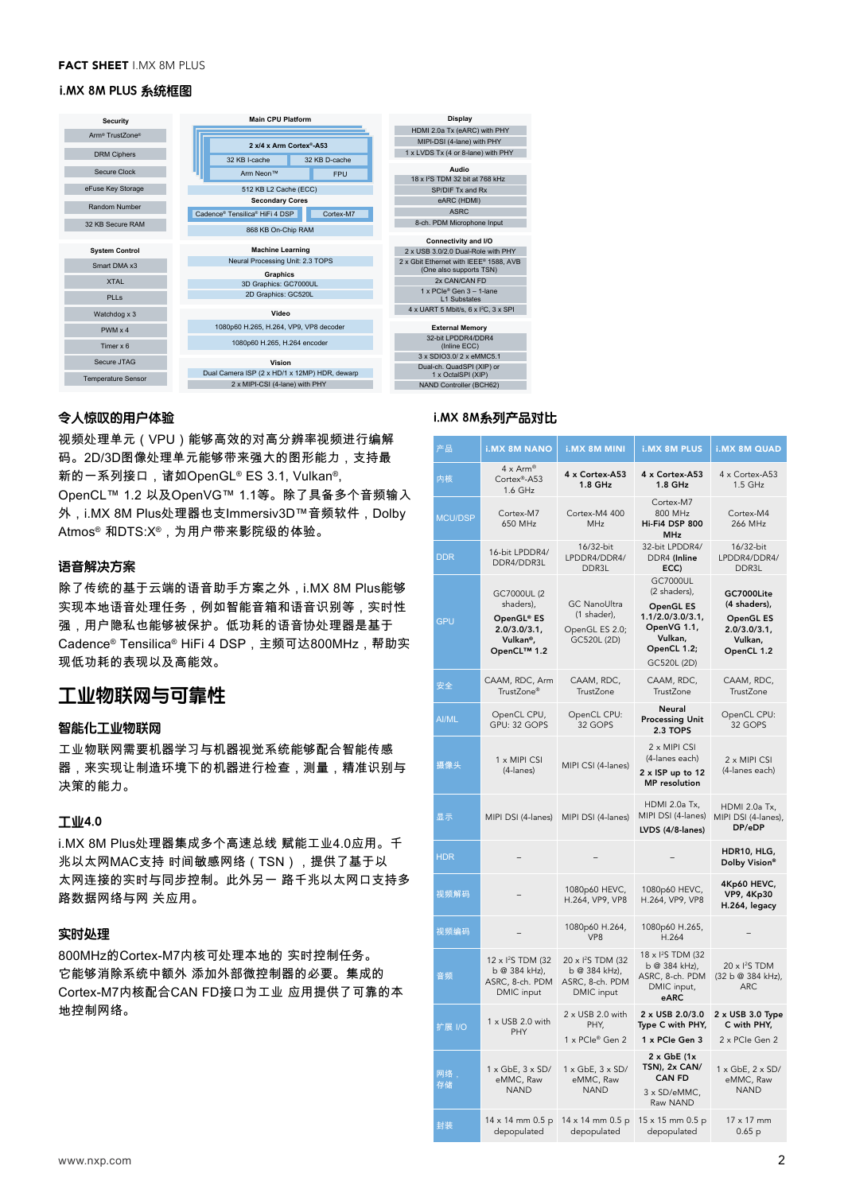#### **FACT SHEET I.MX 8M PLUS**

#### $\mathcal{L}$  is the small  $\mathcal{L}$ **i.MX 8M PLUS 系统框图**

| Security                    | <b>Main CPU Platform</b>                      | Display                                                          |
|-----------------------------|-----------------------------------------------|------------------------------------------------------------------|
| Arm <sup>®</sup> TrustZone® |                                               | HDMI 2.0a Tx (eARC) with PHY                                     |
|                             | 2 x/4 x Arm Cortex®-A53                       | MIPI-DSI (4-lane) with PHY                                       |
| <b>DRM Ciphers</b>          | 32 KB I-cache<br>32 KB D-cache                | 1 x LVDS Tx (4 or 8-lane) with PHY                               |
| Secure Clock                | Arm Neon™<br><b>FPU</b>                       | Audio                                                            |
|                             |                                               | 18 x <sup>2</sup> S TDM 32 bit at 768 kHz                        |
| eFuse Key Storage           | 512 KB L2 Cache (ECC)                         | SP/DIF Tx and Rx                                                 |
| Random Number               | <b>Secondary Cores</b>                        | eARC (HDMI)                                                      |
|                             | Cadence® Tensilica® HiFi 4 DSP<br>Cortex-M7   | <b>ASRC</b>                                                      |
| 32 KB Secure RAM            | 868 KB On-Chip RAM                            | 8-ch. PDM Microphone Input                                       |
|                             |                                               | Connectivity and I/O                                             |
| <b>System Control</b>       | <b>Machine Learning</b>                       | 2 x USB 3.0/2.0 Dual-Role with PHY                               |
| Smart DMA x3                | Neural Processing Unit: 2.3 TOPS              | 2 x Gbit Ethernet with IEEE® 1588. AVB                           |
|                             | <b>Graphics</b>                               | (One also supports TSN)                                          |
| <b>XTAL</b>                 | 3D Graphics: GC7000UL                         | 2x CAN/CAN FD                                                    |
| PIIs                        | 2D Graphics: GC520L                           | $1 \times PCle^{\circ}$ Gen $3 - 1$ -lane<br><b>11 Substates</b> |
| Watchdog x 3                | Video                                         | 4 x UART 5 Mbit/s, 6 x I <sup>2</sup> C, 3 x SPI                 |
| $PWM \times 4$              | 1080p60 H.265, H.264, VP9, VP8 decoder        | <b>External Memory</b>                                           |
| Timer x 6                   | 1080p60 H.265, H.264 encoder                  | 32-bit I PDDR4/DDR4<br>(Inline ECC)                              |
| Secure JTAG                 |                                               | 3 x SDIO3.0/2 x eMMC5.1                                          |
|                             | Vision                                        | Dual-ch. QuadSPI (XIP) or                                        |
| <b>Temperature Sensor</b>   | Dual Camera ISP (2 x HD/1 x 12MP) HDR, dewarp | 1 x OctaISPI (XIP)                                               |
|                             | 2 x MIPI-CSI (4-lane) with PHY                | NAND Controller (BCH62)                                          |

## **令人惊叹的用户体验**

视频处理单元(VPU)能够高效的对高分辨率视频进行编解 码。2D/3D图像处理单元能够带来强大的图形能力,支持最 新的一系列接口,诸如OpenGL® ES 3.1, Vulkan®, OpenCL™ 1.2 以及OpenVG™ 1.1等。除了具备多个音频输入 外,i.MX 8M Plus处理器也支Immersiv3D™音频软件, Dolby Atmos® 和DTS:X®,为用户带来影院级的体验。

# **语音解决方案**

除了传统的基于云端的语音助手方案之外,i.MX 8M Plus能够 实现本地语音处理任务,例如智能音箱和语音识别等,实时性 强,用户隐私也能够被保护。低功耗的语音协处理器是基于 Cadence® Tensilica® HiFi 4 DSP,主频可达800MHz,帮助实 现低功耗的表现以及高能效。

# **工业物联网与可靠性**

## **智能化工业物联网**

工业物联网需要机器学习与机器视觉系统能够配合智能传感 器,来实现让制造环境下的机器进行检查,测量,精准识别与 决策的能力。

# **工业4.0**

i.MX 8M Plus处理器集成多个高速总线 赋能工业4.0应用。千 兆以太网MAC支持 时间敏感网络 (TSN ) ,提供了基于以 太网连接的实时与同步控制。此外另一 路千兆以太网口支持多 路数据网络与网 关应用。

# **实时处理**

800MHz的Cortex-M7内核可处理本地的 实时控制任务。 它能够消除系统中额外 添加外部微控制器的必要。集成的 Cortex-M7内核配合CAN FD接口为工业 应用提供了可靠的本 地控制网络。

### **i.MX 8M系列产品对比**

| 产品             | <b>i.MX 8M NANO</b>                                                              | <b>i.MX 8M MINI</b>                                                           | <b>i.MX 8M PLUS</b>                                                                                                     | <b>i.MX 8M QUAD</b>                                                                    |
|----------------|----------------------------------------------------------------------------------|-------------------------------------------------------------------------------|-------------------------------------------------------------------------------------------------------------------------|----------------------------------------------------------------------------------------|
| 内核             | $4 \times$ Arm <sup>®</sup><br>Cortex®-A53<br>1.6 GHz                            | 4 x Cortex-A53<br>$1.8$ GHz                                                   | 4 x Cortex-A53<br>$1.8$ GHz                                                                                             | 4 x Cortex-A53<br>1.5 GHz                                                              |
| <b>MCU/DSP</b> | Cortex-M7<br>650 MHz                                                             | Cortex-M4 400<br><b>MHz</b>                                                   | Cortex-M7<br>800 MHz<br>Hi-Fi4 DSP 800<br><b>MHz</b>                                                                    | Cortex-M4<br>266 MHz                                                                   |
| <b>DDR</b>     | 16-bit LPDDR4/<br>DDR4/DDR3L                                                     | 16/32-bit<br>LPDDR4/DDR4/<br>DDR3L                                            | 32-bit LPDDR4/<br>DDR4 (Inline<br>ECC)                                                                                  | 16/32-bit<br>LPDDR4/DDR4/<br>DDR3L                                                     |
| <b>GPU</b>     | GC7000UL (2<br>shaders),<br>OpenGL® ES<br>2.0/3.0/3.1<br>Vulkan®,<br>OpenCL™ 1.2 | <b>GC NanoUltra</b><br>(1 shader),<br>OpenGL ES 2.0;<br>GC520L (2D)           | <b>GC7000UL</b><br>(2 shaders),<br>OpenGL ES<br>1.1/2.0/3.0/3.1<br>OpenVG 1.1,<br>Vulkan,<br>OpenCL 1.2;<br>GC520L (2D) | GC7000Lite<br>(4 shaders),<br><b>OpenGL ES</b><br>2.0/3.0/3.1<br>Vulkan.<br>OpenCL 1.2 |
| 安全             | CAAM, RDC, Arm<br>TrustZone®                                                     | CAAM, RDC,<br>TrustZone                                                       | CAAM, RDC,<br>TrustZone                                                                                                 | CAAM, RDC,<br>TrustZone                                                                |
| AI/ML          | OpenCL CPU,<br>GPU: 32 GOPS                                                      | OpenCL CPU:<br>32 GOPS                                                        | Neural<br><b>Processing Unit</b><br>2.3 TOPS                                                                            | OpenCL CPU:<br>32 GOPS                                                                 |
| 摄像头            | 1 x MIPI CSI<br>(4-lanes)                                                        | MIPI CSI (4-lanes)                                                            | 2 x MIPI CSI<br>(4-lanes each)<br>2 x ISP up to 12<br><b>MP</b> resolution                                              | 2 x MIPI CSI<br>(4-lanes each)                                                         |
| 显示             | MIPI DSI (4-lanes)                                                               | MIPI DSI (4-lanes)                                                            | HDMI 2.0a Tx.<br>MIPI DSI (4-lanes)<br>LVDS (4/8-lanes)                                                                 | HDMI 2.0a Tx,<br>MIPI DSI (4-lanes),<br>DP/eDP                                         |
| <b>HDR</b>     |                                                                                  |                                                                               |                                                                                                                         | HDR10, HLG,<br>Dolby Vision®                                                           |
| 视频解码           |                                                                                  | 1080p60 HEVC,<br>H.264, VP9, VP8                                              | 1080p60 HEVC,<br>H.264, VP9, VP8                                                                                        | 4Kp60 HEVC,<br>VP9, 4Kp30<br>H.264, legacy                                             |
| 视频编码           |                                                                                  | 1080p60 H.264,<br>VP8                                                         | 1080p60 H.265,<br>H.264                                                                                                 |                                                                                        |
| 音频             | 12 x <sup>2</sup> S TDM (32<br>b @ 384 kHz),<br>ASRC, 8-ch. PDM<br>DMIC input    | 20 x <sup>2</sup> S TDM (32<br>b @ 384 kHz),<br>ASRC, 8-ch. PDM<br>DMIC input | 18 x <sup>2</sup> S TDM (32<br>b @ 384 kHz),<br>ASRC, 8-ch. PDM<br>DMIC input,<br>eARC                                  | 20 x <sup>2</sup> S TDM<br>(32 b @ 384 kHz),<br><b>ARC</b>                             |
| 扩展 I/O         | 1 x USB 2.0 with<br>PHY                                                          | 2 x USB 2.0 with<br>PHY.<br>1 x PCle® Gen 2                                   | 2 x USB 2.0/3.0<br>Type C with PHY,<br>1 x PCIe Gen 3                                                                   | 2 x USB 3.0 Type<br>C with PHY.<br>2 x PCIe Gen 2                                      |
| 网络,<br>存储      | $1 \times$ GbE, $3 \times$ SD/<br>eMMC, Raw<br><b>NAND</b>                       | $1 \times$ GbE, $3 \times$ SD/<br>eMMC, Raw<br><b>NAND</b>                    | $2 \times$ GbE (1 $\times$<br>TSN), 2x CAN/<br><b>CAN FD</b><br>3 x SD/eMMC,<br>Raw NAND                                | $1 \times$ GbE, $2 \times$ SD/<br>eMMC, Raw<br><b>NAND</b>                             |
| 封装             | 14 x 14 mm 0.5 p<br>depopulated                                                  | 14 x 14 mm 0.5 p<br>depopulated                                               | 15 x 15 mm 0.5 p<br>depopulated                                                                                         | $17 \times 17$ mm<br>0.65p                                                             |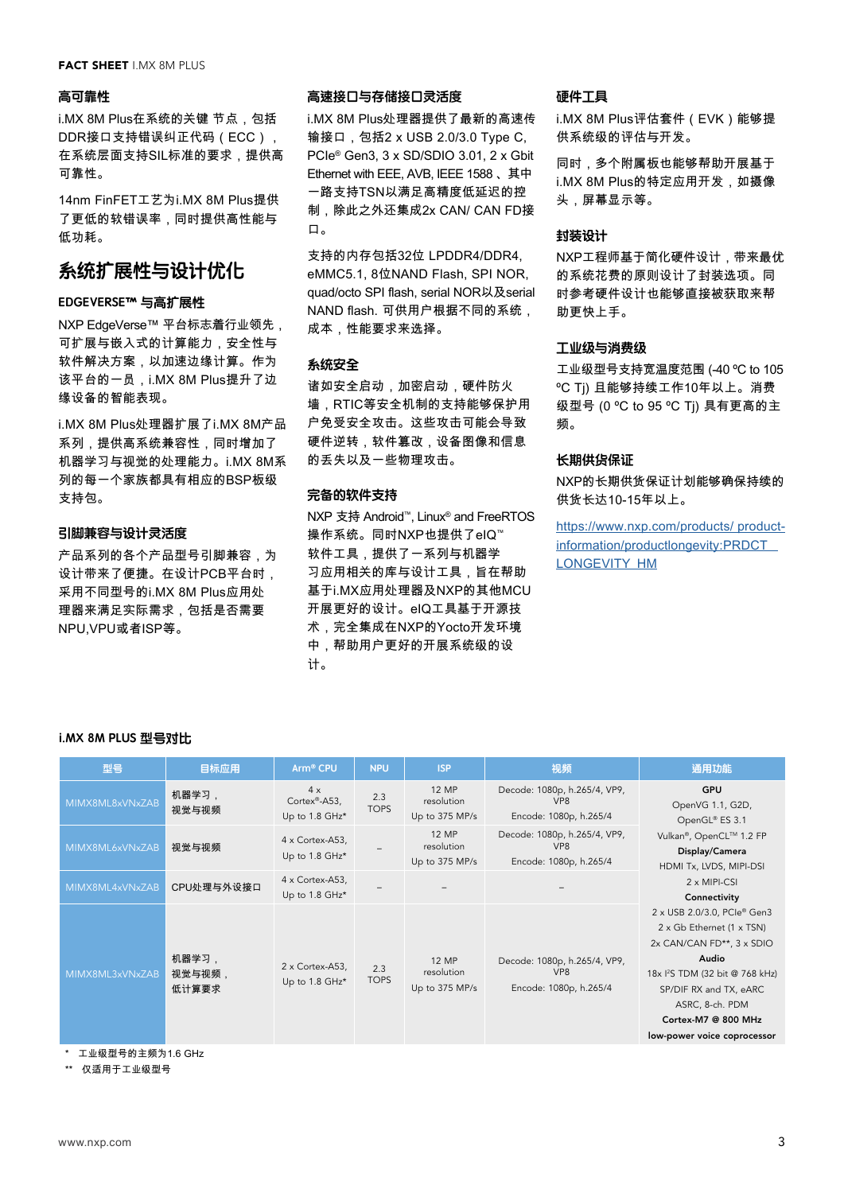#### **FACT SHEET I MX 8M PLUS**

#### **高可靠性**

i.MX 8M Plus在系统的关键 节点,包括 DDR接口支持错误纠正代码(ECC), 在系统层面支持SIL标准的要求,提供高 可靠性。

14nm FinFET工艺为i.MX 8M Plus提供 了更低的软错误率,同时提供高性能与 低功耗。

# **系统扩展性与设计优化**

# **EDGEVERSE™ 与高扩展性**

NXP EdgeVerse™ 平台标志着行业领先, 可扩展与嵌入式的计算能力,安全性与 软件解决方案,以加速边缘计算。作为 该平台的一员,i.MX 8M Plus提升了边 缘设备的智能表现。

i.MX 8M Plus处理器扩展了i.MX 8M产品 系列,提供高系统兼容性,同时增加了 机器学习与视觉的处理能力。i.MX 8M系 列的每一个家族都具有相应的BSP板级 支持包。

# **引脚兼容与设计灵活度**

产品系列的各个产品型号引脚兼容,为 设计带来了便捷。在设计PCB平台时, 采用不同型号的i.MX 8M Plus应用处 理器来满足实际需求,包括是否需要 NPU,VPU或者ISP等。

# **高速接口与存储接口灵活度**

i.MX 8M Plus处理器提供了最新的高速传 输接口,包括2 x USB 2.0/3.0 Type C, PCIe® Gen3, 3 x SD/SDIO 3.01, 2 x Gbit Ethernet with EEE, AVB, IEEE 1588 、其中 一路支持TSN以满足高精度低延迟的控 制,除此之外还集成2x CAN/ CAN FD接 口。

支持的内存包括32位 LPDDR4/DDR4, eMMC5.1, 8位NAND Flash, SPI NOR, quad/octo SPI flash, serial NOR以及serial NAND flash. 可供用户根据不同的系统, 成本,性能要求来选择。

# **系统安全**

诸如安全启动,加密启动,硬件防火 墙,RTIC等安全机制的支持能够保护用 户免受安全攻击。这些攻击可能会导致 硬件逆转,软件篡改,设备图像和信息 的丢失以及一些物理攻击。

# **完备的软件支持**

NXP 支持 Android™, Linux® and FreeRTOS 操作系统。同时NXP也提供了eIQ™ 软件工具,提供了一系列与机器学 习应用相关的库与设计工具,旨在帮助 基于i.MX应用处理器及NXP的其他MCU 开展更好的设计。eIQ工具基于开源技 术,完全集成在NXP的Yocto开发环境 中,帮助用户更好的开展系统级的设 计。

# **硬件工具**

i.MX 8M Plus评估套件(EVK)能够提 供系统级的评估与开发。

同时,多个附属板也能够帮助开展基于 i.MX 8M Plus的特定应用开发,如摄像 头,屏幕显示等。

#### **封装设计**

NXP工程师基于简化硬件设计,带来最优 的系统花费的原则设计了封装选项。同 时参考硬件设计也能够直接被获取来帮 助更快上手。

# **工业级与消费级**

工业级型号支持宽温度范围 (-40 ºC to 105 ºC Tj) 且能够持续工作10年以上。消费 级型号 (0 ºC to 95 ºC Tj) 具有更高的主 频。

## **长期供货保证**

NXP的长期供货保证计划能够确保持续的 供货长达10-15年以上。

[https://www.nxp.com/products/ product](https://www.nxp.com/products/ product-information/productlongevity:PRDCT_ LONGEVITY_HM)[information/productlongevity:PRDCT\\_](https://www.nxp.com/products/ product-information/productlongevity:PRDCT_ LONGEVITY_HM)  [LONGEVITY\\_HM](https://www.nxp.com/products/ product-information/productlongevity:PRDCT_ LONGEVITY_HM)

#### **i.MX 8M PLUS 型号对比**

| 型몸              | 目标应用                     | Arm <sup>®</sup> CPU                 | <b>NPU</b>         | <b>ISP</b>                                   | 视频                                                                        | 通用功能                                                                                                                                                                                                                                                                                                                                                                                                              |
|-----------------|--------------------------|--------------------------------------|--------------------|----------------------------------------------|---------------------------------------------------------------------------|-------------------------------------------------------------------------------------------------------------------------------------------------------------------------------------------------------------------------------------------------------------------------------------------------------------------------------------------------------------------------------------------------------------------|
| MIMX8ML8xVNxZAB | 机器学习,<br>视觉与视频           | 4x<br>Cortex®-A53,<br>Up to 1.8 GHz* | 2.3<br><b>TOPS</b> | 12 MP<br>resolution<br>Up to 375 MP/s        | Decode: 1080p, h.265/4, VP9,<br>VP <sub>8</sub><br>Encode: 1080p, h.265/4 | <b>GPU</b><br>OpenVG 1.1, G2D,<br>OpenGL® ES 3.1<br>Vulkan®, OpenCL™ 1.2 FP<br>Display/Camera<br>HDMI Tx, LVDS, MIPI-DSI<br>$2 \times MIPI-CSI$<br>Connectivity<br>2 x USB 2.0/3.0, PCIe® Gen3<br>2 x Gb Ethernet (1 x TSN)<br>2x CAN/CAN FD**, 3 x SDIO<br>Audio<br>18x <sup>2</sup> S TDM (32 bit @ 768 kHz)<br>SP/DIF RX and TX, eARC<br>ASRC, 8-ch. PDM<br>Cortex-M7 @ 800 MHz<br>low-power voice coprocessor |
| MIMX8ML6xVNxZAB | 视觉与视频                    | 4 x Cortex-A53,<br>Up to 1.8 GHz*    |                    | <b>12 MP</b><br>resolution<br>Up to 375 MP/s | Decode: 1080p, h.265/4, VP9,<br>VP <sub>8</sub><br>Encode: 1080p, h.265/4 |                                                                                                                                                                                                                                                                                                                                                                                                                   |
| MIMX8ML4xVNxZAB | CPU处理与外设接口               | 4 x Cortex-A53,<br>Up to 1.8 GHz*    |                    |                                              |                                                                           |                                                                                                                                                                                                                                                                                                                                                                                                                   |
| MIMX8ML3xVNxZAB | 机器学习,<br>视觉与视频,<br>低计算要求 | 2 x Cortex-A53,<br>Up to 1.8 GHz*    | 2.3<br><b>TOPS</b> | 12 MP<br>resolution<br>Up to 375 MP/s        | Decode: 1080p, h.265/4, VP9,<br>VP <sub>8</sub><br>Encode: 1080p, h.265/4 |                                                                                                                                                                                                                                                                                                                                                                                                                   |

\* 工业级型号的主频为1.6 GHz

\*\* 仅适用于工业级型号